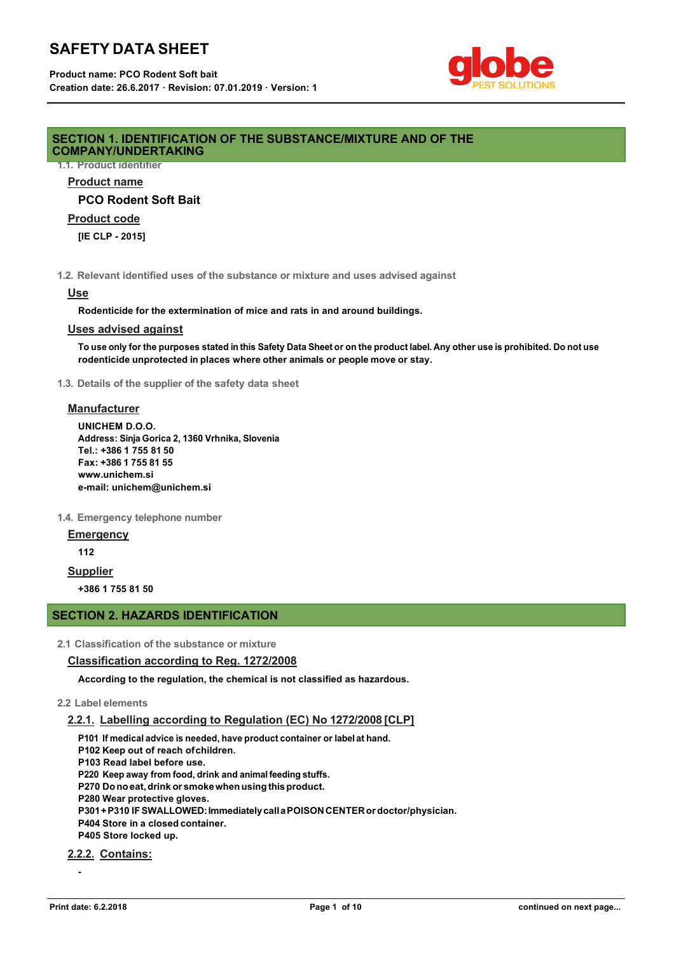# **SAFETY DATA SHEET**



## **SECTION 1. IDENTIFICATION OF THE SUBSTANCE/MIXTURE AND OF THE COMPANY/UNDERTAKING**

**1.1. Product identifier**

## **Product name**

**PCO Rodent Soft Bait**

## **Product code**

**[IE CLP - 2015]**

**1.2. Relevant identified uses of the substance or mixture and uses advised against**

#### **Use**

**Rodenticide for the extermination of mice and rats in and around buildings.**

#### **Uses advised against**

To use only for the purposes stated in this Safety Data Sheet or on the product label. Any other use is prohibited. Do not use **rodenticide unprotected in places where other animals or people move or stay.**

**1.3. Details of the supplier of the safety data sheet**

#### **Manufacturer**

**UNICHEM D.O.O. Address: Sinja Gorica 2, 1360 Vrhnika, Slovenia Tel.: +386 1 755 81 50 Fax: +386 1 755 81 55 www.unichem.si e-mail: unichem@unichem.si**

**1.4. Emergency telephone number**

**Emergency**

**112**

# **Supplier**

**+386 1 755 81 50**

# **SECTION 2. HAZARDS IDENTIFICATION**

**2.1 Classification of the substance or mixture**

# **Classification according to Reg. 1272/2008**

**According to the regulation, the chemical is not classified as hazardous.**

## **2.2 Label elements**

# **2.2.1. Labelling according to Regulation (EC) No 1272/2008 [CLP]**

**P101 If medical advice is needed, have product container or label at hand.** 

**P102 Keep out of reach ofchildren.**

**P103 Read label before use.**

**P220 Keep away from food, drink and animalfeeding stuffs.** 

**P270 Donoeat,drink or smokewhenusingthisproduct.** 

**P280 Wear protective gloves.**

**P301+P310 IFSWALLOWED:ImmediatelycallaPOISONCENTERordoctor/physician.** 

**P404 Store in a closed container.**

**P405 Store locked up.**

**2.2.2. Contains:**

**-**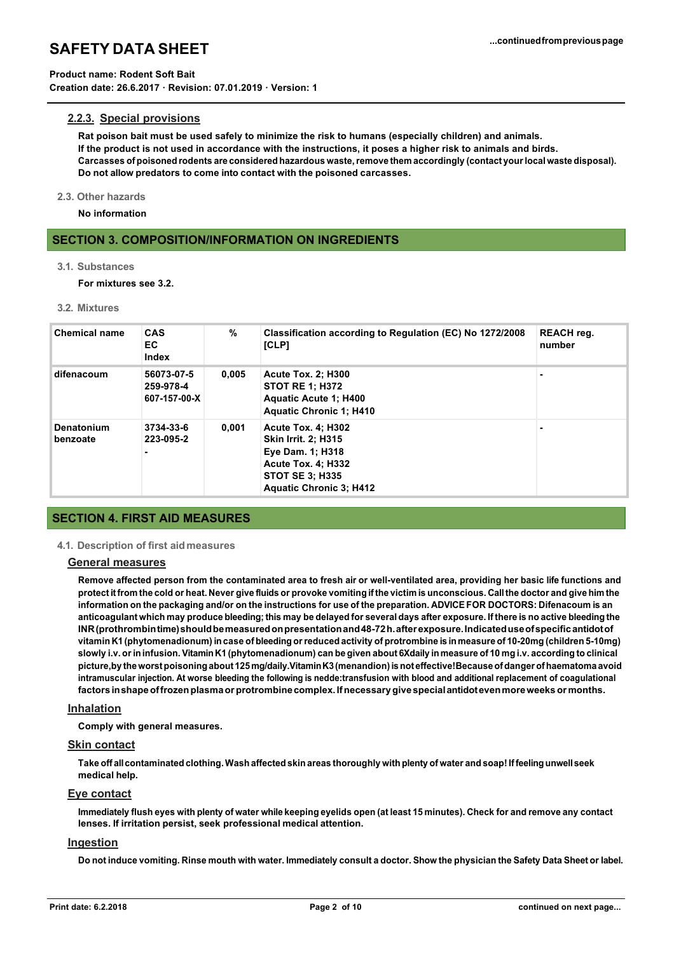#### **Product name: Rodent Soft Bait**

**Creation date: 26.6.2017 · Revision: 07.01.2019 · Version: 1**

## **2.2.3. Special provisions**

**Rat poison bait must be used safely to minimize the risk to humans (especially children) and animals. If the product is not used in accordance with the instructions, it poses a higher risk to animals and birds. Carcasses of poisoned rodents are considered hazardous waste,remove them accordingly (contact yourlocalwaste disposal). Do not allow predators to come into contact with the poisoned carcasses.**

#### **2.3. Other hazards**

**No information**

## **SECTION 3. COMPOSITION/INFORMATION ON INGREDIENTS**

### **3.1. Substances**

**For mixtures see 3.2.**

#### **3.2. Mixtures**

| <b>Chemical name</b>   | <b>CAS</b><br>EC.<br>Index              | $\%$  | Classification according to Regulation (EC) No 1272/2008<br>[CLP]                                                                                                    | <b>REACH</b> reg.<br>number |
|------------------------|-----------------------------------------|-------|----------------------------------------------------------------------------------------------------------------------------------------------------------------------|-----------------------------|
| difenacoum             | 56073-07-5<br>259-978-4<br>607-157-00-X | 0,005 | <b>Acute Tox. 2: H300</b><br><b>STOT RE 1: H372</b><br><b>Aquatic Acute 1: H400</b><br><b>Aquatic Chronic 1: H410</b>                                                |                             |
| Denatonium<br>benzoate | 3734-33-6<br>223-095-2<br>۰             | 0.001 | <b>Acute Tox. 4: H302</b><br><b>Skin Irrit. 2: H315</b><br>Eye Dam. 1; H318<br><b>Acute Tox. 4: H332</b><br><b>STOT SE 3: H335</b><br><b>Aquatic Chronic 3: H412</b> |                             |

## **SECTION 4. FIRST AID MEASURES**

#### **4.1. Description of first aidmeasures**

#### **General measures**

**Remove affected person from the contaminated area to fresh air or well-ventilated area, providing her basic life functions and**  protect it from the cold or heat. Never give fluids or provoke vomiting if the victim is unconscious. Call the doctor and give him the information on the packaging and/or on the instructions for use of the preparation. ADVICE FOR DOCTORS: Difenacoum is an anticoagulant which may produce bleeding; this may be delayed for several days after exposure. If there is no active bleeding the **INR(prothrombintime)shouldbemeasuredonpresentationand48-72h.afterexposure.Indicateduseofspecificantidotof**  vitamin K1 (phytomenadionum) in case of bleeding or reduced activity of protrombine is in measure of 10-20mg (children 5-10mg) slowly i.v. or in infusion. Vitamin K1 (phytomenadionum) can be given about 6Xdaily in measure of 10 mg i.v. according to clinical **picture,by theworstpoisoningabout 125mg/daily.VitaminK3(menandion)isnoteffective!Becauseofdanger ofhaematoma avoid intramuscular injection. At worse bleeding the following is nedde:transfusion with blood and additional replacement of coagulational factors inshapeoffrozenplasmaor protrombinecomplex.Ifnecessary givespecialantidotevenmoreweeks or months.**

#### **Inhalation**

**Comply with general measures.**

#### **Skin contact**

Take off all contaminated clothing. Wash affected skin areas thoroughly with plenty of water and soap! If feeling unwell seek **medical help.**

## **Eye contact**

Immediately flush eyes with plenty of water while keeping eyelids open (at least 15 minutes). Check for and remove any contact **lenses. If irritation persist, seek professional medical attention.**

## **Ingestion**

Do not induce vomiting. Rinse mouth with water. Immediately consult a doctor. Show the physician the Safety Data Sheet or label.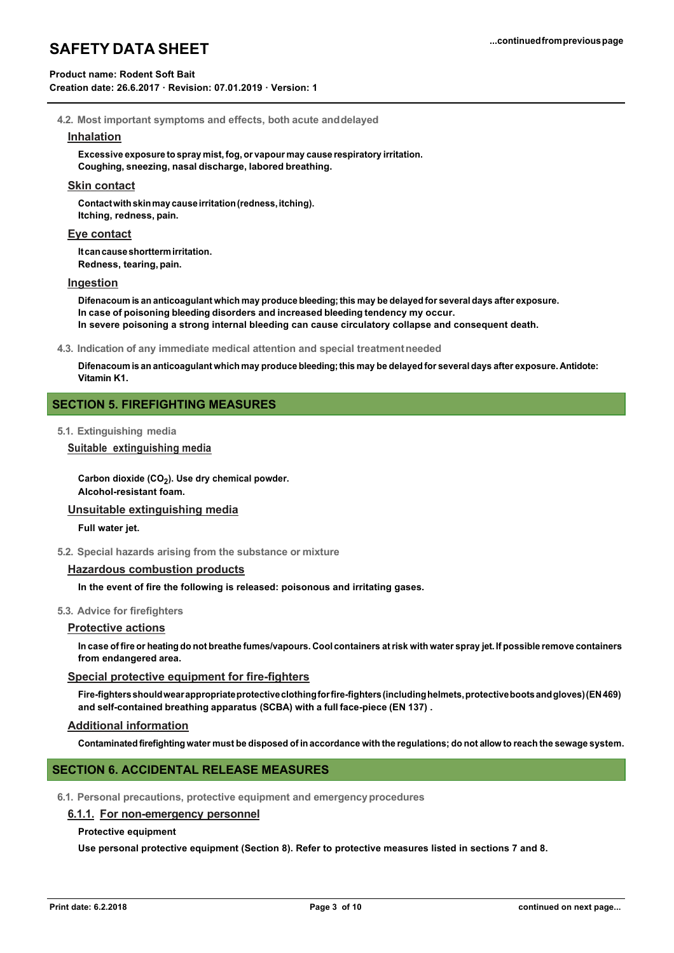## **Product name: Rodent Soft Bait**

**Creation date: 26.6.2017 · Revision: 07.01.2019 · Version: 1**

**4.2. Most important symptoms and effects, both acute anddelayed**

#### **Inhalation**

**Excessive exposure to spray mist,fog, or vapour may cause respiratory irritation. Coughing, sneezing, nasal discharge, labored breathing.**

#### **Skin contact**

**Contactwithskinmay causeirritation(redness,itching). Itching, redness, pain.**

#### **Eye contact**

**Itcancauseshorttermirritation. Redness, tearing, pain.**

#### **Ingestion**

**Difenacoum is an anticoagulant which may produce bleeding;this may be delayed for several days after exposure. In case of poisoning bleeding disorders and increased bleeding tendency my occur. In severe poisoning a strong internal bleeding can cause circulatory collapse and consequent death.**

**4.3. Indication of any immediate medical attention and special treatmentneeded**

Difenacoum is an anticoagulant which may produce bleeding; this may be delayed for several days after exposure. Antidote: **Vitamin K1.**

## **SECTION 5. FIREFIGHTING MEASURES**

**5.1. Extinguishing media**

#### **Suitable extinguishing media**

Carbon dioxide (CO<sub>2</sub>). Use dry chemical powder. **Alcohol-resistant foam.**

## **Unsuitable extinguishing media**

**Full water jet.**

**5.2. Special hazards arising from the substance or mixture**

# **Hazardous combustion products**

**In the event of fire the following is released: poisonous and irritating gases.**

#### **5.3. Advice for firefighters**

### **Protective actions**

In case of fire or heating do not breathe fumes/vapours. Cool containers at risk with water spray jet. If possible remove containers **from endangered area.**

#### **Special protective equipment for fire-fighters**

Fire-fighters should wear appropriate protective clothing for fire-fighters (including helmets, protective boots and gloves) (EN 469) **and self-contained breathing apparatus (SCBA) with a full face-piece (EN 137) .**

#### **Additional information**

Contaminated firefighting water must be disposed of in accordance with the regulations; do not allow to reach the sewage system.

## **SECTION 6. ACCIDENTAL RELEASE MEASURES**

**6.1. Personal precautions, protective equipment and emergencyprocedures**

#### **6.1.1. For non-emergency personnel**

#### **Protective equipment**

**Use personal protective equipment (Section 8). Refer to protective measures listed in sections 7 and 8.**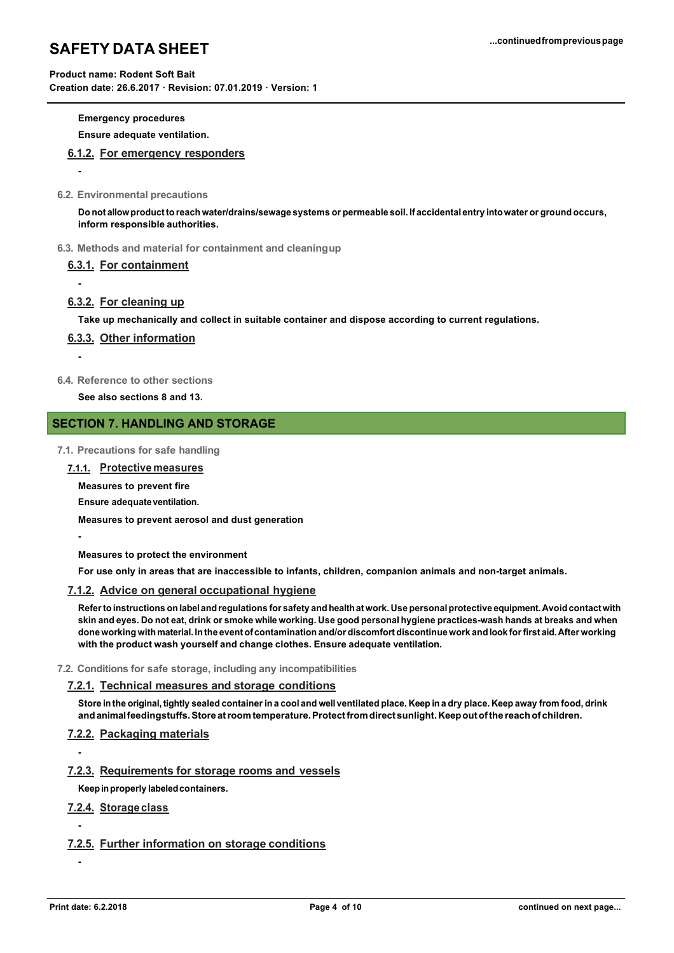## **Product name: Rodent Soft Bait**

**Creation date: 26.6.2017 · Revision: 07.01.2019 · Version: 1**

# **Emergency procedures**

**Ensure adequate ventilation.**

## **6.1.2. For emergency responders**

**6.2. Environmental precautions**

**-**

**-**

**-**

**-**

Do not allow product to reach water/drains/sewage systems or permeable soil. If accidental entry into water or ground occurs, **inform responsible authorities.**

**6.3. Methods and material for containment and cleaningup**

## **6.3.1. For containment**

## **6.3.2. For cleaning up**

**Take up mechanically and collect in suitable container and dispose according to current regulations.**

## **6.3.3. Other information**

**6.4. Reference to other sections**

**See also sections 8 and 13.**

## **SECTION 7. HANDLING AND STORAGE**

- **7.1. Precautions for safe handling**
	- **7.1.1. Protective measures**

**Measures to prevent fire** 

**Ensure adequateventilation.**

**Measures to prevent aerosol and dust generation**

**Measures to protect the environment**

**For use only in areas that are inaccessible to infants, children, companion animals and non-target animals.**

### **7.1.2. Advice on general occupational hygiene**

**Referto instructions on labeland regulations for safety and healthatwork. Use personalprotective equipment.Avoid contactwith**  skin and eyes. Do not eat, drink or smoke while working. Use good personal hygiene practices-wash hands at breaks and when done working with material. In the event of contamination and/or discomfort discontinue work and look for first aid. After working **with the product wash yourself and change clothes. Ensure adequate ventilation.**

**7.2. Conditions for safe storage, including any incompatibilities**

# **7.2.1. Technical measures and storage conditions**

Store in the original, tightly sealed container in a cool and well ventilated place. Keep in a dry place. Keep away from food, drink **andanimalfeedingstuffs.Store atroomtemperature.Protectfromdirectsunlight.Keepoutofthe reachof children.**

# **7.2.2. Packaging materials**

# **7.2.3. Requirements for storage rooms and vessels**

**Keepinproperly labeledcontainers.**

# **7.2.4. Storageclass**

# **7.2.5. Further information on storage conditions**

**-**

**-**

**-**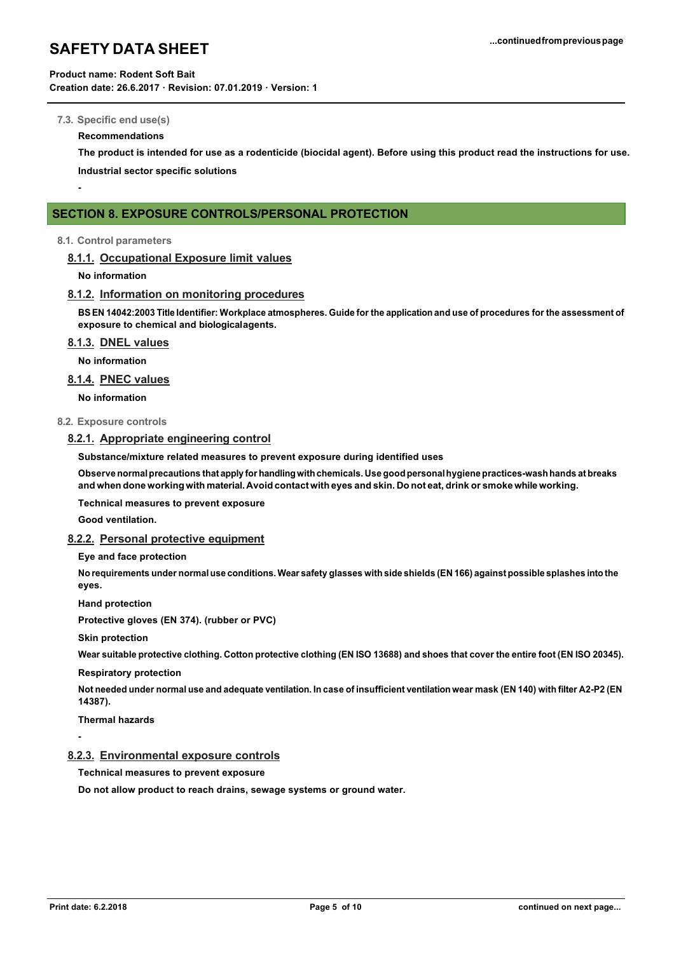### **Product name: Rodent Soft Bait**

**Creation date: 26.6.2017 · Revision: 07.01.2019 · Version: 1**

#### **7.3. Specific end use(s)**

#### **Recommendations**

**The product is intended for use as a rodenticide (biocidal agent). Before using this product read the instructions for use. Industrial sector specific solutions**

**-**

# **SECTION 8. EXPOSURE CONTROLS/PERSONAL PROTECTION**

#### **8.1. Control parameters**

## **8.1.1. Occupational Exposure limit values**

**No information**

#### **8.1.2. Information on monitoring procedures**

BS EN 14042:2003 Title Identifier: Workplace atmospheres. Guide for the application and use of procedures for the assessment of **exposure to chemical and biologicalagents.**

### **8.1.3. DNEL values**

**No information**

## **8.1.4. PNEC values**

**No information**

#### **8.2. Exposure controls**

## **8.2.1. Appropriate engineering control**

**Substance/mixture related measures to prevent exposure during identified uses**

**Observe normalprecautions that apply for handlingwithchemicals. Use good personalhygiene practices-washhands at breaks**  and when done working with material. Avoid contact with eyes and skin. Do not eat, drink or smoke while working.

**Technical measures to prevent exposure**

**Good ventilation.**

#### **8.2.2. Personal protective equipment**

### **Eye and face protection**

No requirements under normal use conditions. Wear safety glasses with side shields (EN 166) against possible splashes into the **eyes.**

**Hand protection**

**Protective gloves (EN 374). (rubber or PVC)**

**Skin protection**

Wear suitable protective clothing. Cotton protective clothing (EN ISO 13688) and shoes that cover the entire foot (EN ISO 20345).

#### **Respiratory protection**

Not needed under normal use and adequate ventilation. In case of insufficient ventilation wear mask (EN 140) with filter A2-P2 (EN **14387).**

**Thermal hazards**

**-**

## **8.2.3. Environmental exposure controls**

**Technical measures to prevent exposure**

**Do not allow product to reach drains, sewage systems or ground water.**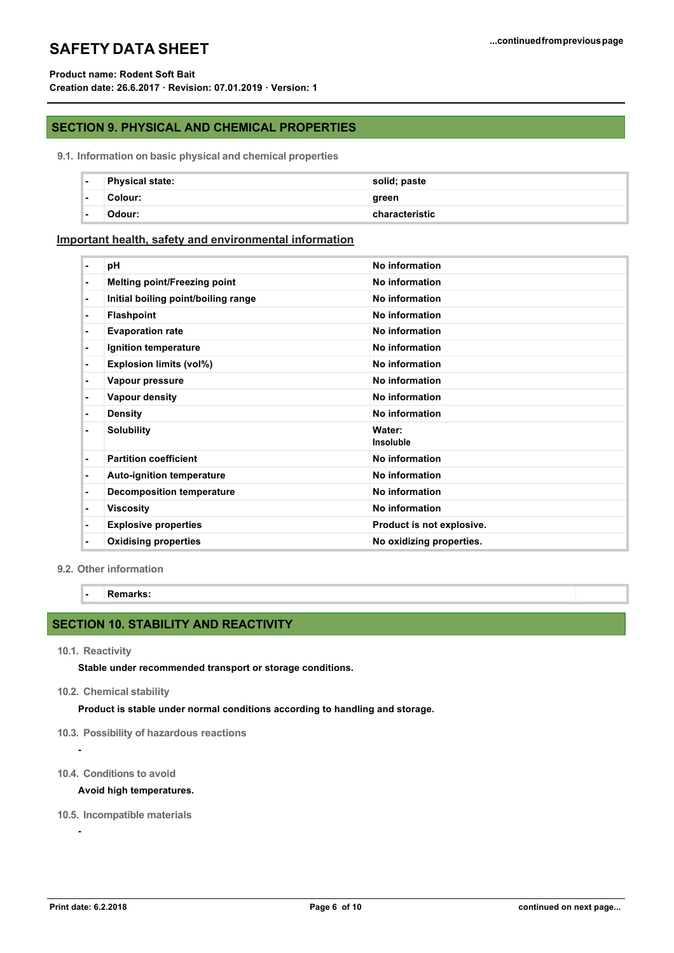## **Product name: Rodent Soft Bait**

**Creation date: 26.6.2017 · Revision: 07.01.2019 · Version: 1**

## **SECTION 9. PHYSICAL AND CHEMICAL PROPERTIES**

**9.1. Information on basic physical and chemical properties**

| н.             | <b>Physical state:</b> | solid; paste   |
|----------------|------------------------|----------------|
| $\blacksquare$ | Colour:                | green          |
| $\blacksquare$ | :Ddour                 | characteristic |

## **Important health, safety and environmental information**

| ٠              | pH                                  | No information             |
|----------------|-------------------------------------|----------------------------|
| $\blacksquare$ | <b>Melting point/Freezing point</b> | No information             |
| ٠              | Initial boiling point/boiling range | No information             |
| ٠              | <b>Flashpoint</b>                   | No information             |
| ٠              | <b>Evaporation rate</b>             | No information             |
| $\blacksquare$ | Ignition temperature                | No information             |
| $\blacksquare$ | <b>Explosion limits (vol%)</b>      | No information             |
| ٠              | Vapour pressure                     | No information             |
| $\blacksquare$ | Vapour density                      | No information             |
| ۰              | <b>Density</b>                      | No information             |
| ٠              | <b>Solubility</b>                   | Water:<br><b>Insoluble</b> |
| ٠              | <b>Partition coefficient</b>        | No information             |
| $\blacksquare$ | Auto-ignition temperature           | No information             |
| ٠              | <b>Decomposition temperature</b>    | No information             |
| ۰              | <b>Viscosity</b>                    | No information             |
| ٠              | <b>Explosive properties</b>         | Product is not explosive.  |
| ٠              | <b>Oxidising properties</b>         | No oxidizing properties.   |

**9.2. Other information**

**- Remarks:**

# **SECTION 10. STABILITY AND REACTIVITY**

**10.1. Reactivity**

**-**

**-**

**Stable under recommended transport or storage conditions.**

**10.2. Chemical stability**

**Product is stable under normal conditions according to handling and storage.**

- **10.3. Possibility of hazardous reactions**
- **10.4. Conditions to avoid**

#### **Avoid high temperatures.**

**10.5. Incompatible materials**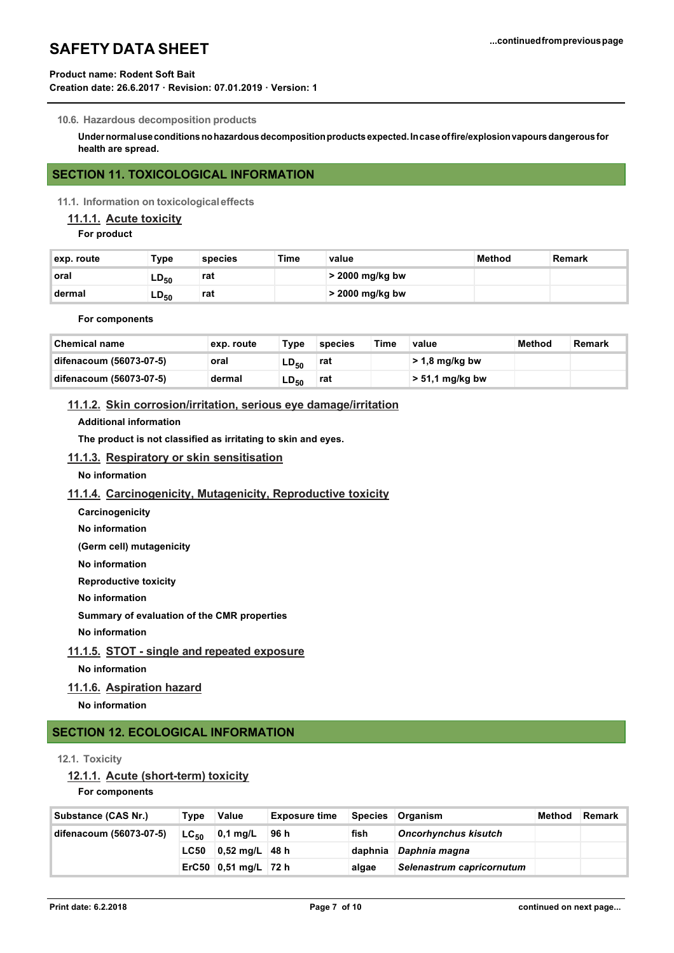## **Product name: Rodent Soft Bait**

**Creation date: 26.6.2017 · Revision: 07.01.2019 · Version: 1**

#### **10.6. Hazardous decomposition products**

**Undernormaluseconditionsnohazardousdecompositionproducts expected.Incaseoffire/explosionvapoursdangerous for health are spread.**

# **SECTION 11. TOXICOLOGICAL INFORMATION**

**11.1. Information on toxicologicaleffects**

# **11.1.1. Acute toxicity**

**For product**

| exp. route | Туре      | species | Time | value             | Method | Remark |
|------------|-----------|---------|------|-------------------|--------|--------|
| ∖oral      | $LD_{50}$ | rat     |      | $>$ 2000 mg/kg bw |        |        |
| dermal     | $LD_{50}$ | rat     |      | > 2000 mg/kg bw   |        |        |

#### **For components**

| <b>Chemical name</b>    | exp. route | Type      | species | Time | value             | Method | Remark |
|-------------------------|------------|-----------|---------|------|-------------------|--------|--------|
| difenacoum (56073-07-5) | oral       | $LD_{50}$ | rat     |      | $> 1.8$ mg/kg bw  |        |        |
| difenacoum (56073-07-5) | dermal     | $LD_{50}$ | rat     |      | $> 51.1$ mg/kg bw |        |        |

# **11.1.2. Skin corrosion/irritation, serious eye damage/irritation**

#### **Additional information**

**The product is not classified as irritating to skin and eyes.**

## **11.1.3. Respiratory or skin sensitisation**

**No information**

### **11.1.4. Carcinogenicity, Mutagenicity, Reproductive toxicity**

- **Carcinogenicity**
- **No information**

**(Germ cell) mutagenicity** 

**No information** 

**Reproductive toxicity**

**No information**

**Summary of evaluation of the CMR properties**

**No information**

## **11.1.5. STOT - single and repeated exposure**

**No information**

## **11.1.6. Aspiration hazard**

**No information**

# **SECTION 12. ECOLOGICAL INFORMATION**

#### **12.1. Toxicity**

## **12.1.1. Acute (short-term) toxicity**

**For components**

| Substance (CAS Nr.)     | Type        | Value                               | <b>Exposure time</b> |                             | Species Organism          | Method | Remark |
|-------------------------|-------------|-------------------------------------|----------------------|-----------------------------|---------------------------|--------|--------|
| difenacoum (56073-07-5) |             | ∣96 h<br>fish<br>$LC_{50}$ 0,1 mg/L |                      | <b>Oncorhynchus kisutch</b> |                           |        |        |
|                         | <b>LC50</b> | $0,52 \text{ mg/L}$ 48 h            |                      |                             | daphnia Daphnia magna     |        |        |
|                         |             | ErC50 0,51 mg/L 72 h                |                      | algae                       | Selenastrum capricornutum |        |        |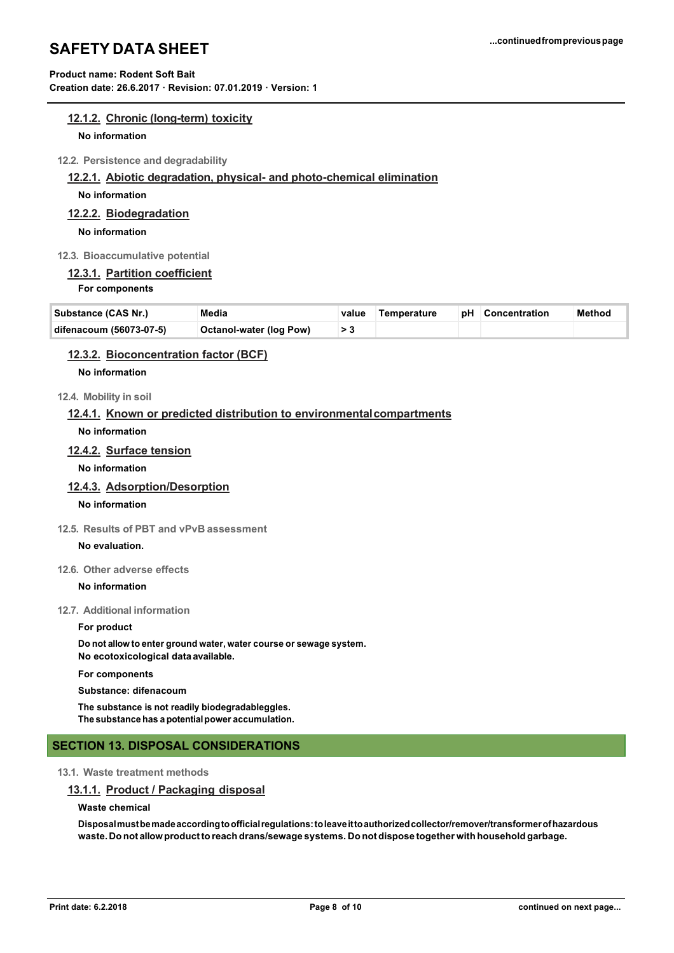# **Product name: Rodent Soft Bait**

**Creation date: 26.6.2017 · Revision: 07.01.2019 · Version: 1**

## **12.1.2. Chronic (long-term) toxicity**

#### **No information**

**12.2. Persistence and degradability**

#### **12.2.1. Abiotic degradation, physical- and photo-chemical elimination**

**No information**

## **12.2.2. Biodegradation**

**No information**

## **12.3. Bioaccumulative potential**

# **12.3.1. Partition coefficient**

#### **For components**

| Substance (CAS Nr.)     | Media                          | value Temperature | pH Concentration | Method |
|-------------------------|--------------------------------|-------------------|------------------|--------|
| difenacoum (56073-07-5) | <b>Octanol-water (log Pow)</b> |                   |                  |        |

## **12.3.2. Bioconcentration factor (BCF)**

## **No information**

## **12.4. Mobility in soil**

## **12.4.1. Known or predicted distribution to environmentalcompartments**

**No information**

## **12.4.2. Surface tension**

**No information**

## **12.4.3. Adsorption/Desorption**

## **No information**

## **12.5. Results of PBT and vPvB assessment**

## **No evaluation.**

## **12.6. Other adverse effects**

#### **No information**

## **12.7. Additional information**

#### **For product**

**Do not allow to enter ground water, water course or sewage system. No ecotoxicological data available. For components Substance: difenacoum**

**The substance is not readily biodegradableggles. The substance has a potentialpower accumulation.**

## **SECTION 13. DISPOSAL CONSIDERATIONS**

## **13.1. Waste treatment methods**

## **13.1.1. Product / Packaging disposal**

#### **Waste chemical**

**Disposalmustbemadeaccordingtoofficialregulations:toleaveittoauthorizedcollector/remover/transformerofhazardous waste. Do not allowproductto reach drans/sewage systems. Do not dispose together with household garbage.**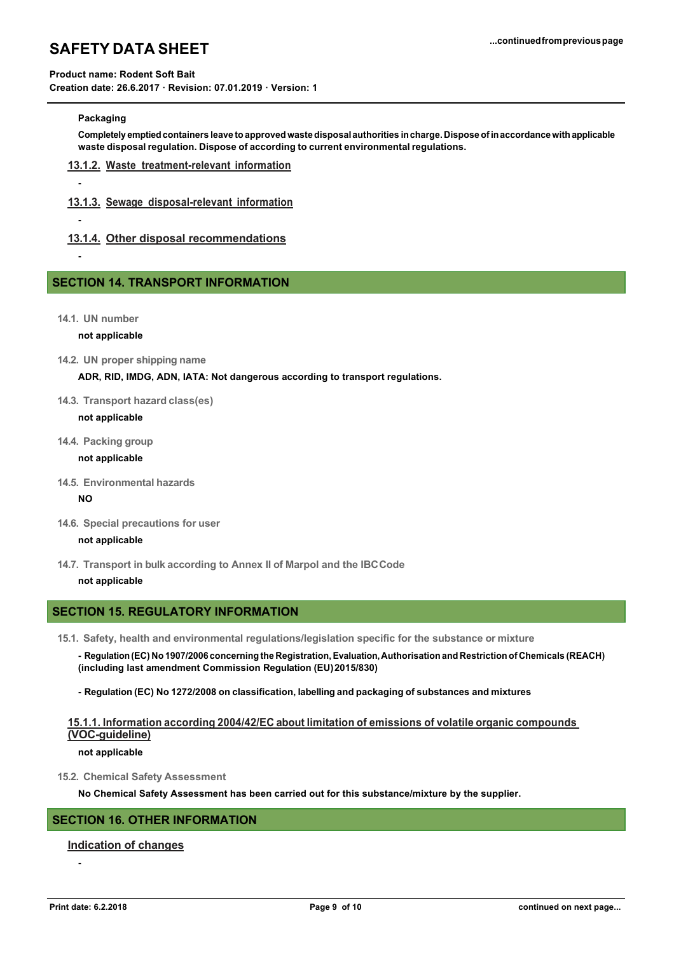## **Product name: Rodent Soft Bait**

**Creation date: 26.6.2017 · Revision: 07.01.2019 · Version: 1**

### **Packaging**

**-**

**-**

**-**

**Completely emptiedcontainers leave to approved waste disposal authorities incharge. Dispose ofinaccordance with applicable waste disposalregulation. Dispose of according to current environmental regulations.**

- **13.1.2. Waste treatment-relevant information**
- **13.1.3. Sewage disposal-relevant information**
- **13.1.4. Other disposal recommendations**

## **SECTION 14. TRANSPORT INFORMATION**

**14.1. UN number**

**not applicable**

**14.2. UN proper shipping name**

**ADR, RID, IMDG, ADN, IATA: Not dangerous according to transport regulations.**

**14.3. Transport hazard class(es)**

#### **not applicable**

**14.4. Packing group**

**not applicable**

**14.5. Environmental hazards**

#### **NO**

**14.6. Special precautions for user**

#### **not applicable**

**14.7. Transport in bulk according to Annex II of Marpol and the IBCCode**

#### **not applicable**

# **SECTION 15. REGULATORY INFORMATION**

- **15.1. Safety, health and environmental regulations/legislation specific for the substance or mixture**
	- **- Regulation(EC) No 1907/2006 concerning the Registration,Evaluation,Authorisation and Restriction of Chemicals (REACH) (including last amendment Commission Regulation (EU)2015/830)**
	- **- Regulation (EC) No 1272/2008 on classification, labelling and packaging of substances and mixtures**

## **15.1.1. Information according 2004/42/EC about limitation of emissions of volatile organic compounds (VOC-guideline)**

#### **not applicable**

**15.2. Chemical Safety Assessment**

**No Chemical Safety Assessment has been carried out for this substance/mixture by the supplier.**

## **SECTION 16. OTHER INFORMATION**

#### **Indication of changes**

**-**